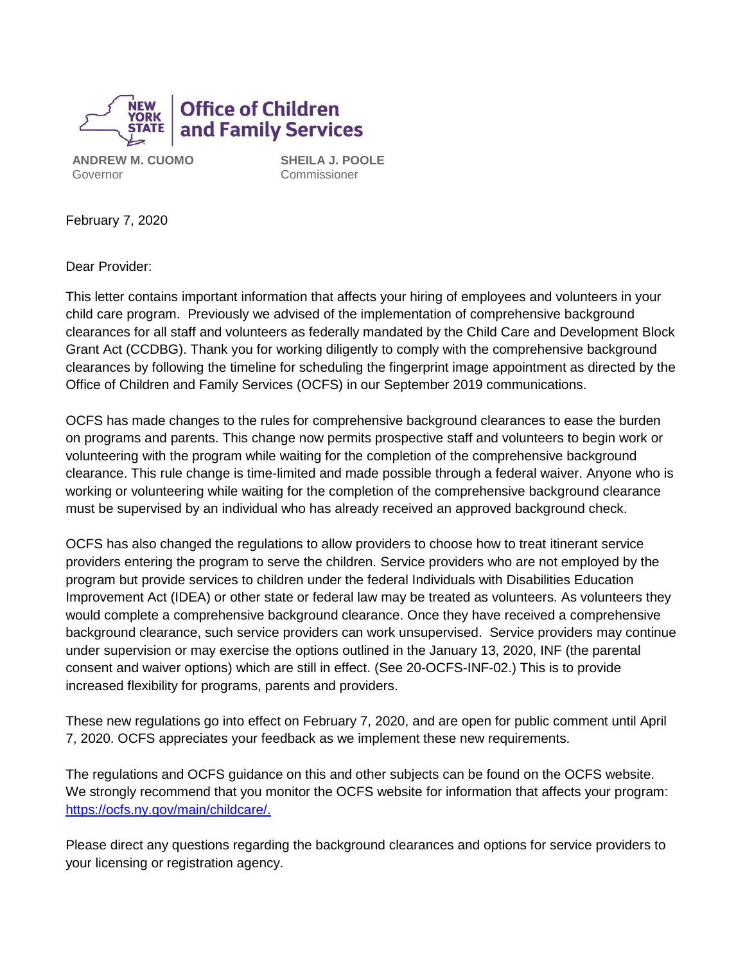

**ANDREW M. CUOMO** Governor

**SHEILA J. POOLE** Commissioner

February 7, 2020

Dear Provider:

This letter contains important information that affects your hiring of employees and volunteers in your child care program. Previously we advised of the implementation of comprehensive background clearances for all staff and volunteers as federally mandated by the Child Care and Development Block Grant Act (CCDBG). Thank you for working diligently to comply with the comprehensive background clearances by following the timeline for scheduling the fingerprint image appointment as directed by the Office of Children and Family Services (OCFS) in our September 2019 communications.

OCFS has made changes to the rules for comprehensive background clearances to ease the burden on programs and parents. This change now permits prospective staff and volunteers to begin work or volunteering with the program while waiting for the completion of the comprehensive background clearance. This rule change is time-limited and made possible through a federal waiver. Anyone who is working or volunteering while waiting for the completion of the comprehensive background clearance must be supervised by an individual who has already received an approved background check.

OCFS has also changed the regulations to allow providers to choose how to treat itinerant service providers entering the program to serve the children. Service providers who are not employed by the program but provide services to children under the federal Individuals with Disabilities Education Improvement Act (IDEA) or other state or federal law may be treated as volunteers. As volunteers they would complete a comprehensive background clearance. Once they have received a comprehensive background clearance, such service providers can work unsupervised. Service providers may continue under supervision or may exercise the options outlined in the January 13, 2020, INF (the parental consent and waiver options) which are still in effect. (See 20-OCFS-INF-02.) This is to provide increased flexibility for programs, parents and providers.

These new regulations go into effect on February 7, 2020, and are open for public comment until April 7, 2020. OCFS appreciates your feedback as we implement these new requirements.

The regulations and OCFS guidance on this and other subjects can be found on the OCFS website. We strongly recommend that you monitor the OCFS website for information that affects your program: [https://ocfs.ny.gov/main/childcare/.](https://ocfs.ny.gov/main/childcare/)

Please direct any questions regarding the background clearances and options for service providers to your licensing or registration agency.